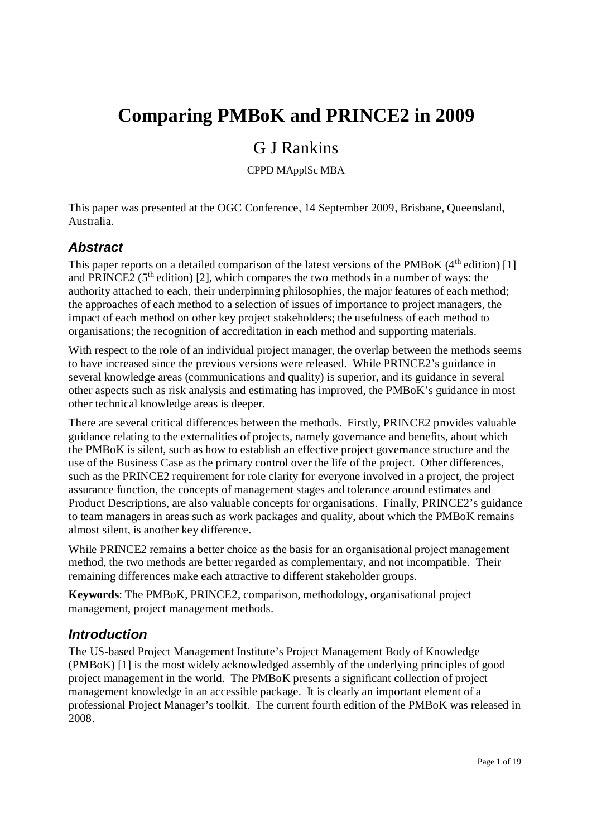# **Comparing PMBoK and PRINCE2 in 2009**

## G J Rankins

CPPD MApplSc MBA

This paper was presented at the OGC Conference, 14 September 2009, Brisbane, Queensland, Australia.

## *Abstract*

This paper reports on a detailed comparison of the latest versions of the PMBoK (4<sup>th</sup> edition) [1] and PRINCE2 ( $5<sup>th</sup>$  edition) [2], which compares the two methods in a number of ways: the authority attached to each, their underpinning philosophies, the major features of each method; the approaches of each method to a selection of issues of importance to project managers, the impact of each method on other key project stakeholders; the usefulness of each method to organisations; the recognition of accreditation in each method and supporting materials.

With respect to the role of an individual project manager, the overlap between the methods seems to have increased since the previous versions were released. While PRINCE2's guidance in several knowledge areas (communications and quality) is superior, and its guidance in several other aspects such as risk analysis and estimating has improved, the PMBoK's guidance in most other technical knowledge areas is deeper.

There are several critical differences between the methods. Firstly, PRINCE2 provides valuable guidance relating to the externalities of projects, namely governance and benefits, about which the PMBoK is silent, such as how to establish an effective project governance structure and the use of the Business Case as the primary control over the life of the project. Other differences, such as the PRINCE2 requirement for role clarity for everyone involved in a project, the project assurance function, the concepts of management stages and tolerance around estimates and Product Descriptions, are also valuable concepts for organisations. Finally, PRINCE2's guidance to team managers in areas such as work packages and quality, about which the PMBoK remains almost silent, is another key difference.

While PRINCE<sub>2</sub> remains a better choice as the basis for an organisational project management method, the two methods are better regarded as complementary, and not incompatible. Their remaining differences make each attractive to different stakeholder groups.

**Keywords**: The PMBoK, PRINCE2, comparison, methodology, organisational project management, project management methods.

## *Introduction*

The US-based Project Management Institute's Project Management Body of Knowledge (PMBoK) [1] is the most widely acknowledged assembly of the underlying principles of good project management in the world. The PMBoK presents a significant collection of project management knowledge in an accessible package. It is clearly an important element of a professional Project Manager's toolkit. The current fourth edition of the PMBoK was released in 2008.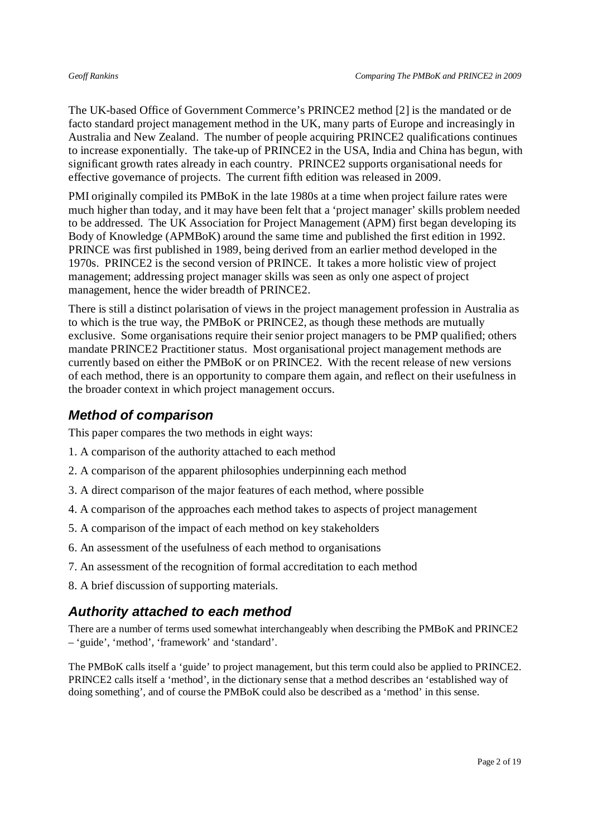The UK-based Office of Government Commerce's PRINCE2 method [2] is the mandated or de facto standard project management method in the UK, many parts of Europe and increasingly in Australia and New Zealand. The number of people acquiring PRINCE2 qualifications continues to increase exponentially. The take-up of PRINCE2 in the USA, India and China has begun, with significant growth rates already in each country. PRINCE2 supports organisational needs for effective governance of projects. The current fifth edition was released in 2009.

PMI originally compiled its PMBoK in the late 1980s at a time when project failure rates were much higher than today, and it may have been felt that a 'project manager' skills problem needed to be addressed. The UK Association for Project Management (APM) first began developing its Body of Knowledge (APMBoK) around the same time and published the first edition in 1992. PRINCE was first published in 1989, being derived from an earlier method developed in the 1970s. PRINCE2 is the second version of PRINCE. It takes a more holistic view of project management; addressing project manager skills was seen as only one aspect of project management, hence the wider breadth of PRINCE2.

There is still a distinct polarisation of views in the project management profession in Australia as to which is the true way, the PMBoK or PRINCE2, as though these methods are mutually exclusive. Some organisations require their senior project managers to be PMP qualified; others mandate PRINCE2 Practitioner status. Most organisational project management methods are currently based on either the PMBoK or on PRINCE2. With the recent release of new versions of each method, there is an opportunity to compare them again, and reflect on their usefulness in the broader context in which project management occurs.

## *Method of comparison*

This paper compares the two methods in eight ways:

- 1. A comparison of the authority attached to each method
- 2. A comparison of the apparent philosophies underpinning each method
- 3. A direct comparison of the major features of each method, where possible
- 4. A comparison of the approaches each method takes to aspects of project management
- 5. A comparison of the impact of each method on key stakeholders
- 6. An assessment of the usefulness of each method to organisations
- 7. An assessment of the recognition of formal accreditation to each method
- 8. A brief discussion of supporting materials.

## *Authority attached to each method*

There are a number of terms used somewhat interchangeably when describing the PMBoK and PRINCE2 – 'guide', 'method', 'framework' and 'standard'.

The PMBoK calls itself a 'guide' to project management, but this term could also be applied to PRINCE2. PRINCE2 calls itself a 'method', in the dictionary sense that a method describes an 'established way of doing something', and of course the PMBoK could also be described as a 'method' in this sense.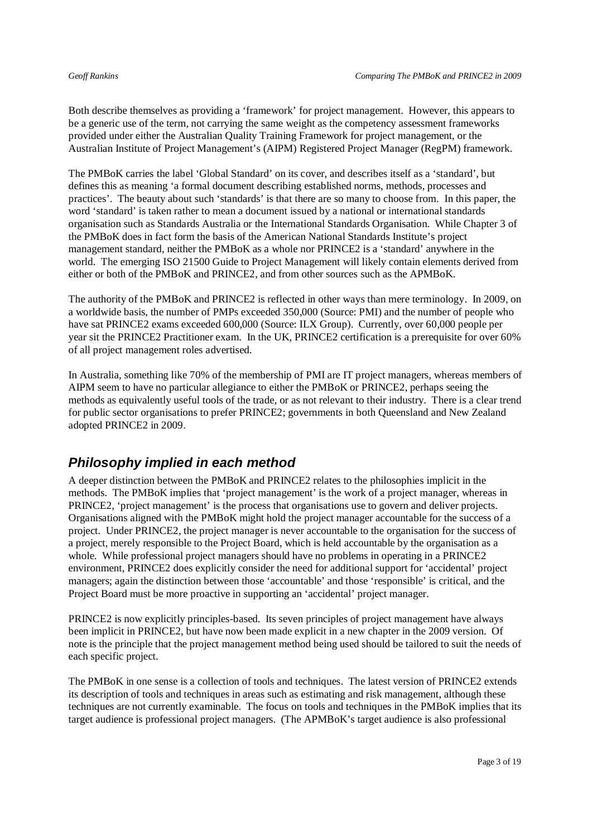Both describe themselves as providing a 'framework' for project management. However, this appears to be a generic use of the term, not carrying the same weight as the competency assessment frameworks provided under either the Australian Quality Training Framework for project management, or the Australian Institute of Project Management's (AIPM) Registered Project Manager (RegPM) framework.

The PMBoK carries the label 'Global Standard' on its cover, and describes itself as a 'standard', but defines this as meaning 'a formal document describing established norms, methods, processes and practices'. The beauty about such 'standards' is that there are so many to choose from. In this paper, the word 'standard' is taken rather to mean a document issued by a national or international standards organisation such as Standards Australia or the International Standards Organisation. While Chapter 3 of the PMBoK does in fact form the basis of the American National Standards Institute's project management standard, neither the PMBoK as a whole nor PRINCE2 is a 'standard' anywhere in the world. The emerging ISO 21500 Guide to Project Management will likely contain elements derived from either or both of the PMBoK and PRINCE2, and from other sources such as the APMBoK.

The authority of the PMBoK and PRINCE2 is reflected in other ways than mere terminology. In 2009, on a worldwide basis, the number of PMPs exceeded 350,000 (Source: PMI) and the number of people who have sat PRINCE2 exams exceeded 600,000 (Source: ILX Group). Currently, over 60,000 people per year sit the PRINCE2 Practitioner exam. In the UK, PRINCE2 certification is a prerequisite for over 60% of all project management roles advertised.

In Australia, something like 70% of the membership of PMI are IT project managers, whereas members of AIPM seem to have no particular allegiance to either the PMBoK or PRINCE2, perhaps seeing the methods as equivalently useful tools of the trade, or as not relevant to their industry. There is a clear trend for public sector organisations to prefer PRINCE2; governments in both Queensland and New Zealand adopted PRINCE2 in 2009.

## *Philosophy implied in each method*

A deeper distinction between the PMBoK and PRINCE2 relates to the philosophies implicit in the methods. The PMBoK implies that 'project management' is the work of a project manager, whereas in PRINCE2, 'project management' is the process that organisations use to govern and deliver projects. Organisations aligned with the PMBoK might hold the project manager accountable for the success of a project. Under PRINCE2, the project manager is never accountable to the organisation for the success of a project, merely responsible to the Project Board, which is held accountable by the organisation as a whole. While professional project managers should have no problems in operating in a PRINCE2 environment, PRINCE2 does explicitly consider the need for additional support for 'accidental' project managers; again the distinction between those 'accountable' and those 'responsible' is critical, and the Project Board must be more proactive in supporting an 'accidental' project manager.

PRINCE2 is now explicitly principles-based. Its seven principles of project management have always been implicit in PRINCE2, but have now been made explicit in a new chapter in the 2009 version. Of note is the principle that the project management method being used should be tailored to suit the needs of each specific project.

The PMBoK in one sense is a collection of tools and techniques. The latest version of PRINCE2 extends its description of tools and techniques in areas such as estimating and risk management, although these techniques are not currently examinable. The focus on tools and techniques in the PMBoK implies that its target audience is professional project managers. (The APMBoK's target audience is also professional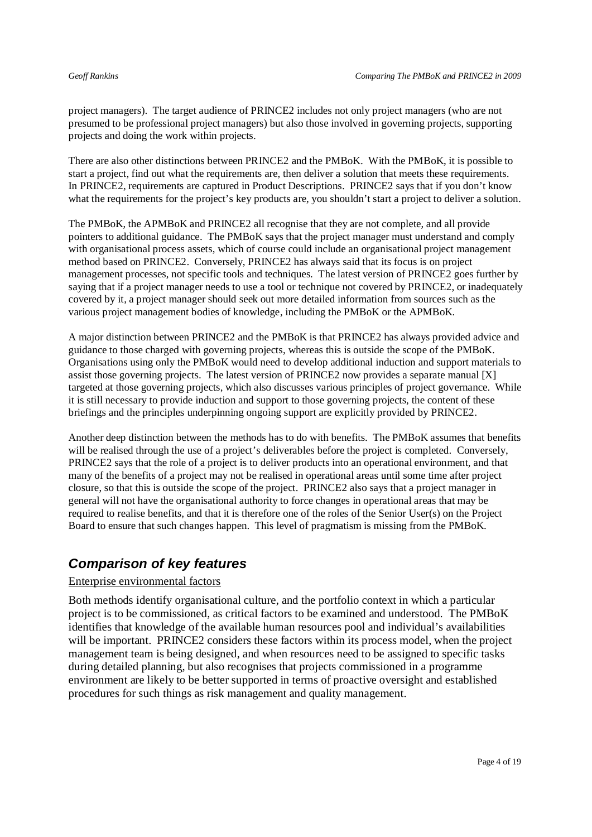project managers). The target audience of PRINCE2 includes not only project managers (who are not presumed to be professional project managers) but also those involved in governing projects, supporting projects and doing the work within projects.

There are also other distinctions between PRINCE2 and the PMBoK. With the PMBoK, it is possible to start a project, find out what the requirements are, then deliver a solution that meets these requirements. In PRINCE2, requirements are captured in Product Descriptions. PRINCE2 says that if you don't know what the requirements for the project's key products are, you shouldn't start a project to deliver a solution.

The PMBoK, the APMBoK and PRINCE2 all recognise that they are not complete, and all provide pointers to additional guidance. The PMBoK says that the project manager must understand and comply with organisational process assets, which of course could include an organisational project management method based on PRINCE2. Conversely, PRINCE2 has always said that its focus is on project management processes, not specific tools and techniques. The latest version of PRINCE2 goes further by saying that if a project manager needs to use a tool or technique not covered by PRINCE2, or inadequately covered by it, a project manager should seek out more detailed information from sources such as the various project management bodies of knowledge, including the PMBoK or the APMBoK.

A major distinction between PRINCE2 and the PMBoK is that PRINCE2 has always provided advice and guidance to those charged with governing projects, whereas this is outside the scope of the PMBoK. Organisations using only the PMBoK would need to develop additional induction and support materials to assist those governing projects. The latest version of PRINCE2 now provides a separate manual [X] targeted at those governing projects, which also discusses various principles of project governance. While it is still necessary to provide induction and support to those governing projects, the content of these briefings and the principles underpinning ongoing support are explicitly provided by PRINCE2.

Another deep distinction between the methods has to do with benefits. The PMBoK assumes that benefits will be realised through the use of a project's deliverables before the project is completed. Conversely, PRINCE2 says that the role of a project is to deliver products into an operational environment, and that many of the benefits of a project may not be realised in operational areas until some time after project closure, so that this is outside the scope of the project. PRINCE2 also says that a project manager in general will not have the organisational authority to force changes in operational areas that may be required to realise benefits, and that it is therefore one of the roles of the Senior User(s) on the Project Board to ensure that such changes happen. This level of pragmatism is missing from the PMBoK.

## *Comparison of key features*

### Enterprise environmental factors

Both methods identify organisational culture, and the portfolio context in which a particular project is to be commissioned, as critical factors to be examined and understood. The PMBoK identifies that knowledge of the available human resources pool and individual's availabilities will be important. PRINCE2 considers these factors within its process model, when the project management team is being designed, and when resources need to be assigned to specific tasks during detailed planning, but also recognises that projects commissioned in a programme environment are likely to be better supported in terms of proactive oversight and established procedures for such things as risk management and quality management.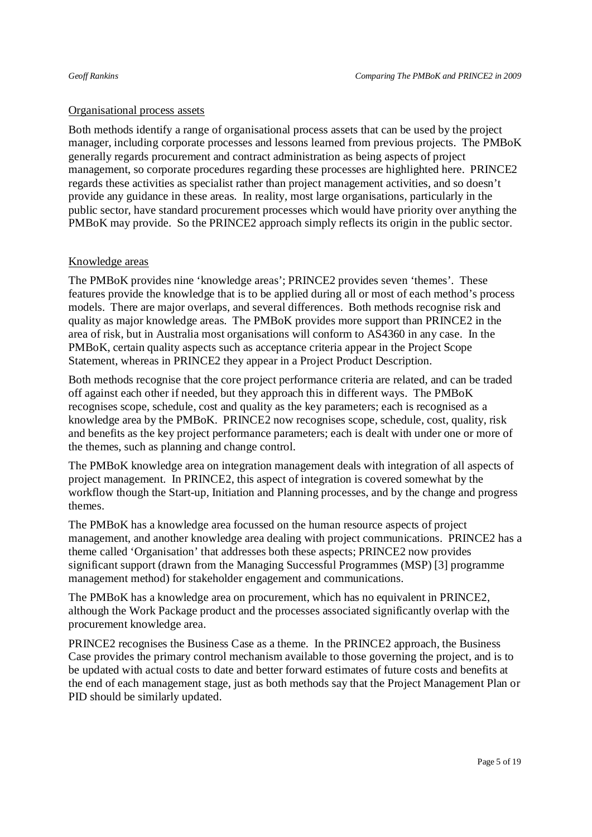### Organisational process assets

Both methods identify a range of organisational process assets that can be used by the project manager, including corporate processes and lessons learned from previous projects. The PMBoK generally regards procurement and contract administration as being aspects of project management, so corporate procedures regarding these processes are highlighted here. PRINCE2 regards these activities as specialist rather than project management activities, and so doesn't provide any guidance in these areas. In reality, most large organisations, particularly in the public sector, have standard procurement processes which would have priority over anything the PMBoK may provide. So the PRINCE2 approach simply reflects its origin in the public sector.

### Knowledge areas

The PMBoK provides nine 'knowledge areas'; PRINCE2 provides seven 'themes'. These features provide the knowledge that is to be applied during all or most of each method's process models. There are major overlaps, and several differences. Both methods recognise risk and quality as major knowledge areas. The PMBoK provides more support than PRINCE2 in the area of risk, but in Australia most organisations will conform to AS4360 in any case. In the PMBoK, certain quality aspects such as acceptance criteria appear in the Project Scope Statement, whereas in PRINCE2 they appear in a Project Product Description.

Both methods recognise that the core project performance criteria are related, and can be traded off against each other if needed, but they approach this in different ways. The PMBoK recognises scope, schedule, cost and quality as the key parameters; each is recognised as a knowledge area by the PMBoK. PRINCE2 now recognises scope, schedule, cost, quality, risk and benefits as the key project performance parameters; each is dealt with under one or more of the themes, such as planning and change control.

The PMBoK knowledge area on integration management deals with integration of all aspects of project management. In PRINCE2, this aspect of integration is covered somewhat by the workflow though the Start-up, Initiation and Planning processes, and by the change and progress themes.

The PMBoK has a knowledge area focussed on the human resource aspects of project management, and another knowledge area dealing with project communications. PRINCE2 has a theme called 'Organisation' that addresses both these aspects; PRINCE2 now provides significant support (drawn from the Managing Successful Programmes (MSP) [3] programme management method) for stakeholder engagement and communications.

The PMBoK has a knowledge area on procurement, which has no equivalent in PRINCE2, although the Work Package product and the processes associated significantly overlap with the procurement knowledge area.

PRINCE2 recognises the Business Case as a theme. In the PRINCE2 approach, the Business Case provides the primary control mechanism available to those governing the project, and is to be updated with actual costs to date and better forward estimates of future costs and benefits at the end of each management stage, just as both methods say that the Project Management Plan or PID should be similarly updated.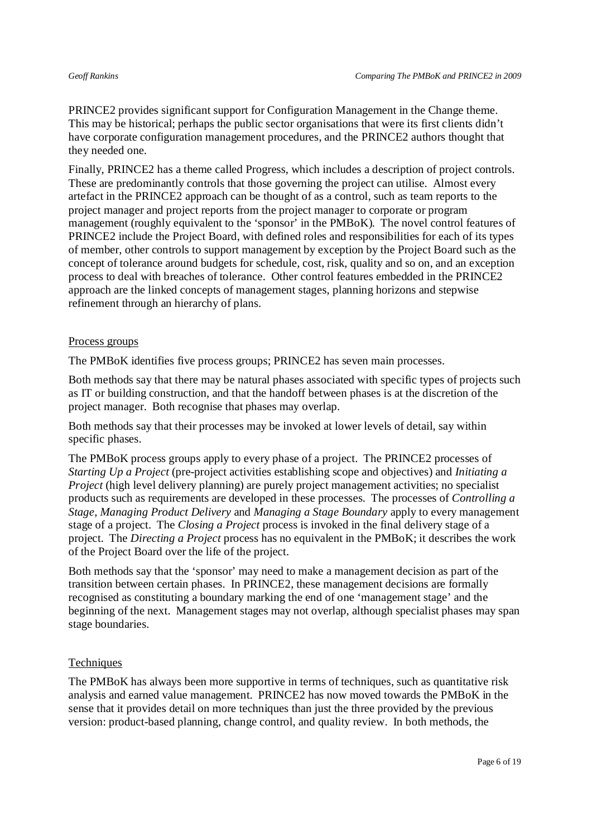PRINCE2 provides significant support for Configuration Management in the Change theme. This may be historical; perhaps the public sector organisations that were its first clients didn't have corporate configuration management procedures, and the PRINCE2 authors thought that they needed one.

Finally, PRINCE2 has a theme called Progress, which includes a description of project controls. These are predominantly controls that those governing the project can utilise. Almost every artefact in the PRINCE2 approach can be thought of as a control, such as team reports to the project manager and project reports from the project manager to corporate or program management (roughly equivalent to the 'sponsor' in the PMBoK). The novel control features of PRINCE2 include the Project Board, with defined roles and responsibilities for each of its types of member, other controls to support management by exception by the Project Board such as the concept of tolerance around budgets for schedule, cost, risk, quality and so on, and an exception process to deal with breaches of tolerance. Other control features embedded in the PRINCE2 approach are the linked concepts of management stages, planning horizons and stepwise refinement through an hierarchy of plans.

#### Process groups

The PMBoK identifies five process groups; PRINCE2 has seven main processes.

Both methods say that there may be natural phases associated with specific types of projects such as IT or building construction, and that the handoff between phases is at the discretion of the project manager. Both recognise that phases may overlap.

Both methods say that their processes may be invoked at lower levels of detail, say within specific phases.

The PMBoK process groups apply to every phase of a project. The PRINCE2 processes of *Starting Up a Project* (pre-project activities establishing scope and objectives) and *Initiating a Project* (high level delivery planning) are purely project management activities; no specialist products such as requirements are developed in these processes. The processes of *Controlling a Stage, Managing Product Delivery* and *Managing a Stage Boundary* apply to every management stage of a project. The *Closing a Project* process is invoked in the final delivery stage of a project. The *Directing a Project* process has no equivalent in the PMBoK; it describes the work of the Project Board over the life of the project.

Both methods say that the 'sponsor' may need to make a management decision as part of the transition between certain phases. In PRINCE2, these management decisions are formally recognised as constituting a boundary marking the end of one 'management stage' and the beginning of the next. Management stages may not overlap, although specialist phases may span stage boundaries.

#### **Techniques**

The PMBoK has always been more supportive in terms of techniques, such as quantitative risk analysis and earned value management. PRINCE2 has now moved towards the PMBoK in the sense that it provides detail on more techniques than just the three provided by the previous version: product-based planning, change control, and quality review. In both methods, the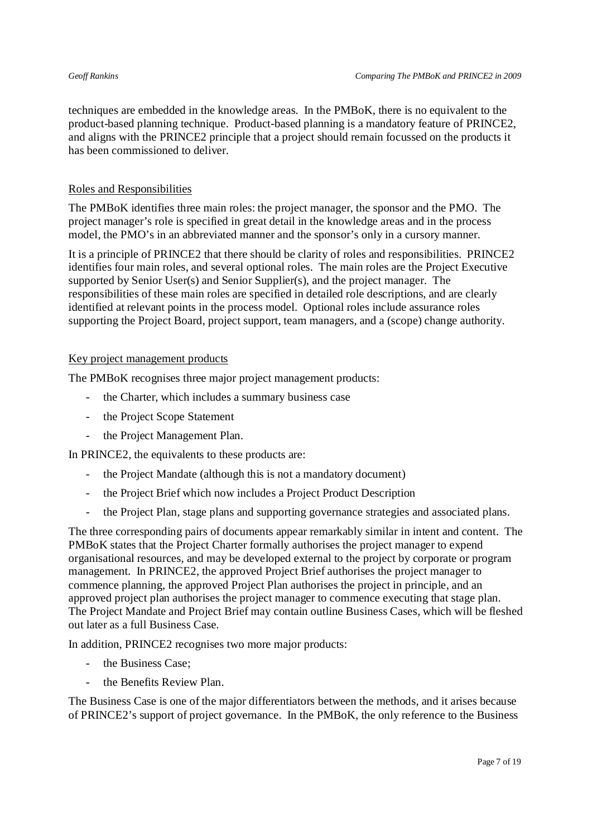techniques are embedded in the knowledge areas. In the PMBoK, there is no equivalent to the product-based planning technique. Product-based planning is a mandatory feature of PRINCE2, and aligns with the PRINCE2 principle that a project should remain focussed on the products it has been commissioned to deliver.

### Roles and Responsibilities

The PMBoK identifies three main roles: the project manager, the sponsor and the PMO. The project manager's role is specified in great detail in the knowledge areas and in the process model, the PMO's in an abbreviated manner and the sponsor's only in a cursory manner.

It is a principle of PRINCE2 that there should be clarity of roles and responsibilities. PRINCE2 identifies four main roles, and several optional roles. The main roles are the Project Executive supported by Senior User(s) and Senior Supplier(s), and the project manager. The responsibilities of these main roles are specified in detailed role descriptions, and are clearly identified at relevant points in the process model. Optional roles include assurance roles supporting the Project Board, project support, team managers, and a (scope) change authority.

### Key project management products

The PMBoK recognises three major project management products:

- the Charter, which includes a summary business case
- the Project Scope Statement
- the Project Management Plan.

In PRINCE2, the equivalents to these products are:

- the Project Mandate (although this is not a mandatory document)
- the Project Brief which now includes a Project Product Description
- the Project Plan, stage plans and supporting governance strategies and associated plans.

The three corresponding pairs of documents appear remarkably similar in intent and content. The PMBoK states that the Project Charter formally authorises the project manager to expend organisational resources, and may be developed external to the project by corporate or program management. In PRINCE2, the approved Project Brief authorises the project manager to commence planning, the approved Project Plan authorises the project in principle, and an approved project plan authorises the project manager to commence executing that stage plan. The Project Mandate and Project Brief may contain outline Business Cases, which will be fleshed out later as a full Business Case.

In addition, PRINCE2 recognises two more major products:

- the Business Case:
- the Benefits Review Plan.

The Business Case is one of the major differentiators between the methods, and it arises because of PRINCE2's support of project governance. In the PMBoK, the only reference to the Business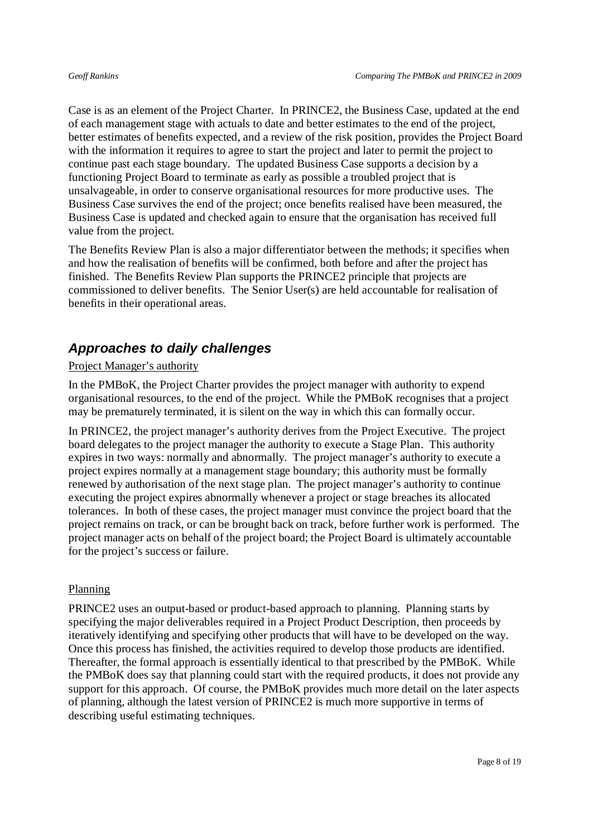Case is as an element of the Project Charter. In PRINCE2, the Business Case, updated at the end of each management stage with actuals to date and better estimates to the end of the project, better estimates of benefits expected, and a review of the risk position, provides the Project Board with the information it requires to agree to start the project and later to permit the project to continue past each stage boundary. The updated Business Case supports a decision by a functioning Project Board to terminate as early as possible a troubled project that is unsalvageable, in order to conserve organisational resources for more productive uses. The Business Case survives the end of the project; once benefits realised have been measured, the Business Case is updated and checked again to ensure that the organisation has received full value from the project.

The Benefits Review Plan is also a major differentiator between the methods; it specifies when and how the realisation of benefits will be confirmed, both before and after the project has finished. The Benefits Review Plan supports the PRINCE2 principle that projects are commissioned to deliver benefits. The Senior User(s) are held accountable for realisation of benefits in their operational areas.

## *Approaches to daily challenges*

### Project Manager's authority

In the PMBoK, the Project Charter provides the project manager with authority to expend organisational resources, to the end of the project. While the PMBoK recognises that a project may be prematurely terminated, it is silent on the way in which this can formally occur.

In PRINCE2, the project manager's authority derives from the Project Executive. The project board delegates to the project manager the authority to execute a Stage Plan. This authority expires in two ways: normally and abnormally. The project manager's authority to execute a project expires normally at a management stage boundary; this authority must be formally renewed by authorisation of the next stage plan. The project manager's authority to continue executing the project expires abnormally whenever a project or stage breaches its allocated tolerances. In both of these cases, the project manager must convince the project board that the project remains on track, or can be brought back on track, before further work is performed. The project manager acts on behalf of the project board; the Project Board is ultimately accountable for the project's success or failure.

#### Planning

PRINCE2 uses an output-based or product-based approach to planning. Planning starts by specifying the major deliverables required in a Project Product Description, then proceeds by iteratively identifying and specifying other products that will have to be developed on the way. Once this process has finished, the activities required to develop those products are identified. Thereafter, the formal approach is essentially identical to that prescribed by the PMBoK. While the PMBoK does say that planning could start with the required products, it does not provide any support for this approach. Of course, the PMBoK provides much more detail on the later aspects of planning, although the latest version of PRINCE2 is much more supportive in terms of describing useful estimating techniques.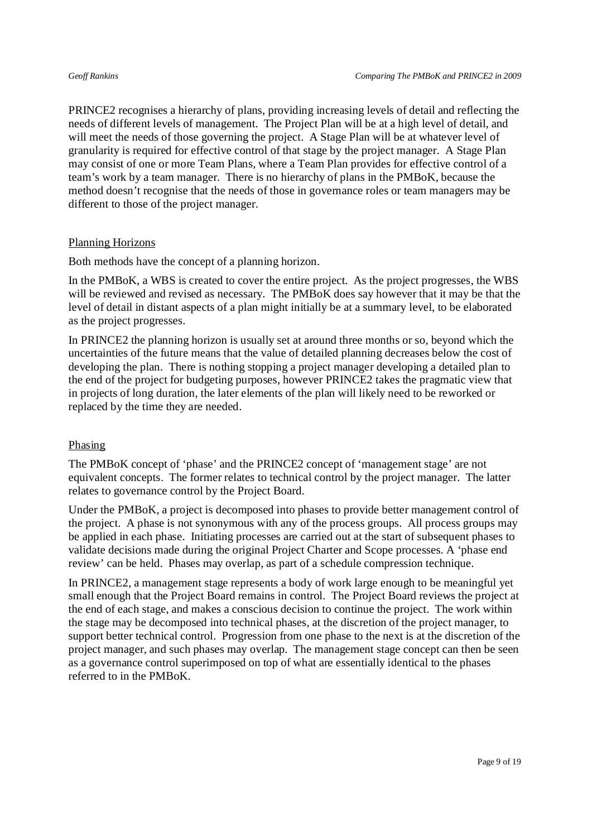PRINCE2 recognises a hierarchy of plans, providing increasing levels of detail and reflecting the needs of different levels of management. The Project Plan will be at a high level of detail, and will meet the needs of those governing the project. A Stage Plan will be at whatever level of granularity is required for effective control of that stage by the project manager. A Stage Plan may consist of one or more Team Plans, where a Team Plan provides for effective control of a team's work by a team manager. There is no hierarchy of plans in the PMBoK, because the method doesn't recognise that the needs of those in governance roles or team managers may be different to those of the project manager.

### Planning Horizons

Both methods have the concept of a planning horizon.

In the PMBoK, a WBS is created to cover the entire project. As the project progresses, the WBS will be reviewed and revised as necessary. The PMBoK does say however that it may be that the level of detail in distant aspects of a plan might initially be at a summary level, to be elaborated as the project progresses.

In PRINCE2 the planning horizon is usually set at around three months or so, beyond which the uncertainties of the future means that the value of detailed planning decreases below the cost of developing the plan. There is nothing stopping a project manager developing a detailed plan to the end of the project for budgeting purposes, however PRINCE2 takes the pragmatic view that in projects of long duration, the later elements of the plan will likely need to be reworked or replaced by the time they are needed.

#### Phasing

The PMBoK concept of 'phase' and the PRINCE2 concept of 'management stage' are not equivalent concepts. The former relates to technical control by the project manager. The latter relates to governance control by the Project Board.

Under the PMBoK, a project is decomposed into phases to provide better management control of the project. A phase is not synonymous with any of the process groups. All process groups may be applied in each phase. Initiating processes are carried out at the start of subsequent phases to validate decisions made during the original Project Charter and Scope processes. A 'phase end review' can be held. Phases may overlap, as part of a schedule compression technique.

In PRINCE2, a management stage represents a body of work large enough to be meaningful yet small enough that the Project Board remains in control. The Project Board reviews the project at the end of each stage, and makes a conscious decision to continue the project. The work within the stage may be decomposed into technical phases, at the discretion of the project manager, to support better technical control. Progression from one phase to the next is at the discretion of the project manager, and such phases may overlap. The management stage concept can then be seen as a governance control superimposed on top of what are essentially identical to the phases referred to in the PMBoK.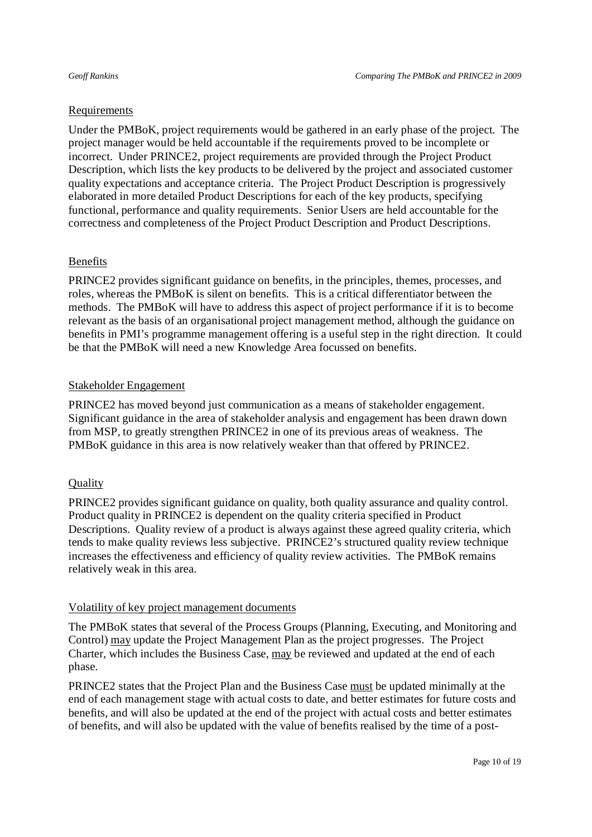#### Requirements

Under the PMBoK, project requirements would be gathered in an early phase of the project. The project manager would be held accountable if the requirements proved to be incomplete or incorrect. Under PRINCE2, project requirements are provided through the Project Product Description, which lists the key products to be delivered by the project and associated customer quality expectations and acceptance criteria. The Project Product Description is progressively elaborated in more detailed Product Descriptions for each of the key products, specifying functional, performance and quality requirements. Senior Users are held accountable for the correctness and completeness of the Project Product Description and Product Descriptions.

### Benefits

PRINCE2 provides significant guidance on benefits, in the principles, themes, processes, and roles, whereas the PMBoK is silent on benefits. This is a critical differentiator between the methods. The PMBoK will have to address this aspect of project performance if it is to become relevant as the basis of an organisational project management method, although the guidance on benefits in PMI's programme management offering is a useful step in the right direction. It could be that the PMBoK will need a new Knowledge Area focussed on benefits.

### Stakeholder Engagement

PRINCE2 has moved beyond just communication as a means of stakeholder engagement. Significant guidance in the area of stakeholder analysis and engagement has been drawn down from MSP, to greatly strengthen PRINCE2 in one of its previous areas of weakness. The PMBoK guidance in this area is now relatively weaker than that offered by PRINCE2.

### **Quality**

PRINCE2 provides significant guidance on quality, both quality assurance and quality control. Product quality in PRINCE2 is dependent on the quality criteria specified in Product Descriptions. Quality review of a product is always against these agreed quality criteria, which tends to make quality reviews less subjective. PRINCE2's structured quality review technique increases the effectiveness and efficiency of quality review activities. The PMBoK remains relatively weak in this area.

#### Volatility of key project management documents

The PMBoK states that several of the Process Groups (Planning, Executing, and Monitoring and Control) may update the Project Management Plan as the project progresses. The Project Charter, which includes the Business Case, may be reviewed and updated at the end of each phase.

PRINCE2 states that the Project Plan and the Business Case must be updated minimally at the end of each management stage with actual costs to date, and better estimates for future costs and benefits, and will also be updated at the end of the project with actual costs and better estimates of benefits, and will also be updated with the value of benefits realised by the time of a post-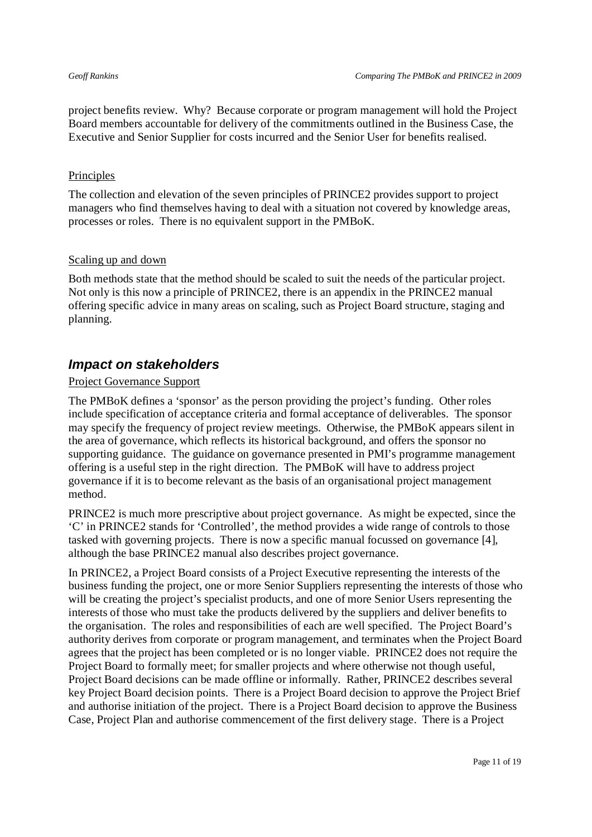project benefits review. Why? Because corporate or program management will hold the Project Board members accountable for delivery of the commitments outlined in the Business Case, the Executive and Senior Supplier for costs incurred and the Senior User for benefits realised.

### **Principles**

The collection and elevation of the seven principles of PRINCE2 provides support to project managers who find themselves having to deal with a situation not covered by knowledge areas, processes or roles. There is no equivalent support in the PMBoK.

### Scaling up and down

Both methods state that the method should be scaled to suit the needs of the particular project. Not only is this now a principle of PRINCE2, there is an appendix in the PRINCE2 manual offering specific advice in many areas on scaling, such as Project Board structure, staging and planning.

## *Impact on stakeholders*

### Project Governance Support

The PMBoK defines a 'sponsor' as the person providing the project's funding. Other roles include specification of acceptance criteria and formal acceptance of deliverables. The sponsor may specify the frequency of project review meetings. Otherwise, the PMBoK appears silent in the area of governance, which reflects its historical background, and offers the sponsor no supporting guidance. The guidance on governance presented in PMI's programme management offering is a useful step in the right direction. The PMBoK will have to address project governance if it is to become relevant as the basis of an organisational project management method.

PRINCE2 is much more prescriptive about project governance. As might be expected, since the 'C' in PRINCE2 stands for 'Controlled', the method provides a wide range of controls to those tasked with governing projects. There is now a specific manual focussed on governance [4], although the base PRINCE2 manual also describes project governance.

In PRINCE2, a Project Board consists of a Project Executive representing the interests of the business funding the project, one or more Senior Suppliers representing the interests of those who will be creating the project's specialist products, and one of more Senior Users representing the interests of those who must take the products delivered by the suppliers and deliver benefits to the organisation. The roles and responsibilities of each are well specified. The Project Board's authority derives from corporate or program management, and terminates when the Project Board agrees that the project has been completed or is no longer viable. PRINCE2 does not require the Project Board to formally meet; for smaller projects and where otherwise not though useful, Project Board decisions can be made offline or informally. Rather, PRINCE2 describes several key Project Board decision points. There is a Project Board decision to approve the Project Brief and authorise initiation of the project. There is a Project Board decision to approve the Business Case, Project Plan and authorise commencement of the first delivery stage. There is a Project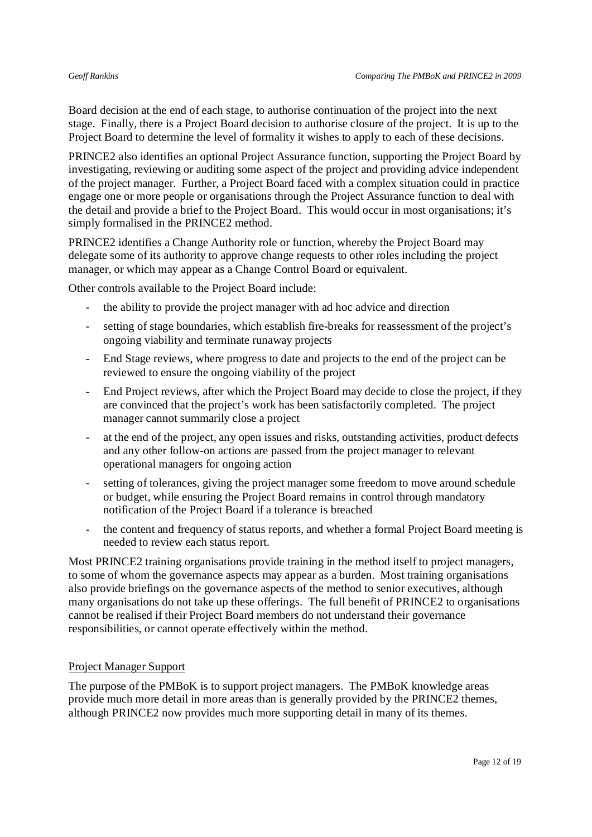Board decision at the end of each stage, to authorise continuation of the project into the next stage. Finally, there is a Project Board decision to authorise closure of the project. It is up to the Project Board to determine the level of formality it wishes to apply to each of these decisions.

PRINCE2 also identifies an optional Project Assurance function, supporting the Project Board by investigating, reviewing or auditing some aspect of the project and providing advice independent of the project manager. Further, a Project Board faced with a complex situation could in practice engage one or more people or organisations through the Project Assurance function to deal with the detail and provide a brief to the Project Board. This would occur in most organisations; it's simply formalised in the PRINCE2 method.

PRINCE2 identifies a Change Authority role or function, whereby the Project Board may delegate some of its authority to approve change requests to other roles including the project manager, or which may appear as a Change Control Board or equivalent.

Other controls available to the Project Board include:

- the ability to provide the project manager with ad hoc advice and direction
- setting of stage boundaries, which establish fire-breaks for reassessment of the project's ongoing viability and terminate runaway projects
- End Stage reviews, where progress to date and projects to the end of the project can be reviewed to ensure the ongoing viability of the project
- End Project reviews, after which the Project Board may decide to close the project, if they are convinced that the project's work has been satisfactorily completed. The project manager cannot summarily close a project
- at the end of the project, any open issues and risks, outstanding activities, product defects and any other follow-on actions are passed from the project manager to relevant operational managers for ongoing action
- setting of tolerances, giving the project manager some freedom to move around schedule or budget, while ensuring the Project Board remains in control through mandatory notification of the Project Board if a tolerance is breached
- the content and frequency of status reports, and whether a formal Project Board meeting is needed to review each status report.

Most PRINCE2 training organisations provide training in the method itself to project managers, to some of whom the governance aspects may appear as a burden. Most training organisations also provide briefings on the governance aspects of the method to senior executives, although many organisations do not take up these offerings. The full benefit of PRINCE2 to organisations cannot be realised if their Project Board members do not understand their governance responsibilities, or cannot operate effectively within the method.

#### Project Manager Support

The purpose of the PMBoK is to support project managers. The PMBoK knowledge areas provide much more detail in more areas than is generally provided by the PRINCE2 themes, although PRINCE2 now provides much more supporting detail in many of its themes.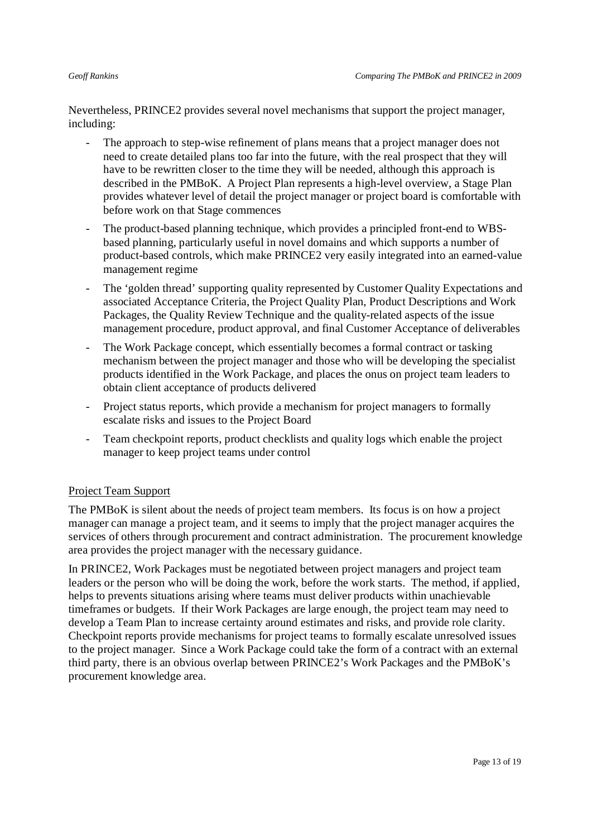Nevertheless, PRINCE2 provides several novel mechanisms that support the project manager, including:

- The approach to step-wise refinement of plans means that a project manager does not need to create detailed plans too far into the future, with the real prospect that they will have to be rewritten closer to the time they will be needed, although this approach is described in the PMBoK. A Project Plan represents a high-level overview, a Stage Plan provides whatever level of detail the project manager or project board is comfortable with before work on that Stage commences
- The product-based planning technique, which provides a principled front-end to WBSbased planning, particularly useful in novel domains and which supports a number of product-based controls, which make PRINCE2 very easily integrated into an earned-value management regime
- The 'golden thread' supporting quality represented by Customer Quality Expectations and associated Acceptance Criteria, the Project Quality Plan, Product Descriptions and Work Packages, the Quality Review Technique and the quality-related aspects of the issue management procedure, product approval, and final Customer Acceptance of deliverables
- The Work Package concept, which essentially becomes a formal contract or tasking mechanism between the project manager and those who will be developing the specialist products identified in the Work Package, and places the onus on project team leaders to obtain client acceptance of products delivered
- Project status reports, which provide a mechanism for project managers to formally escalate risks and issues to the Project Board
- Team checkpoint reports, product checklists and quality logs which enable the project manager to keep project teams under control

### Project Team Support

The PMBoK is silent about the needs of project team members. Its focus is on how a project manager can manage a project team, and it seems to imply that the project manager acquires the services of others through procurement and contract administration. The procurement knowledge area provides the project manager with the necessary guidance.

In PRINCE2, Work Packages must be negotiated between project managers and project team leaders or the person who will be doing the work, before the work starts. The method, if applied, helps to prevents situations arising where teams must deliver products within unachievable timeframes or budgets. If their Work Packages are large enough, the project team may need to develop a Team Plan to increase certainty around estimates and risks, and provide role clarity. Checkpoint reports provide mechanisms for project teams to formally escalate unresolved issues to the project manager. Since a Work Package could take the form of a contract with an external third party, there is an obvious overlap between PRINCE2's Work Packages and the PMBoK's procurement knowledge area.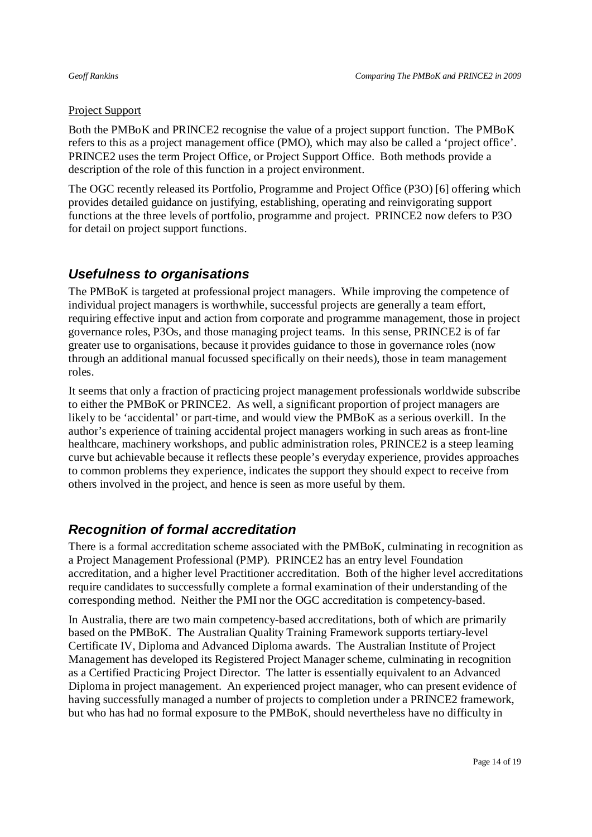### Project Support

Both the PMBoK and PRINCE2 recognise the value of a project support function. The PMBoK refers to this as a project management office (PMO), which may also be called a 'project office'. PRINCE2 uses the term Project Office, or Project Support Office. Both methods provide a description of the role of this function in a project environment.

The OGC recently released its Portfolio, Programme and Project Office (P3O) [6] offering which provides detailed guidance on justifying, establishing, operating and reinvigorating support functions at the three levels of portfolio, programme and project. PRINCE2 now defers to P3O for detail on project support functions.

## *Usefulness to organisations*

The PMBoK is targeted at professional project managers. While improving the competence of individual project managers is worthwhile, successful projects are generally a team effort, requiring effective input and action from corporate and programme management, those in project governance roles, P3Os, and those managing project teams. In this sense, PRINCE2 is of far greater use to organisations, because it provides guidance to those in governance roles (now through an additional manual focussed specifically on their needs), those in team management roles.

It seems that only a fraction of practicing project management professionals worldwide subscribe to either the PMBoK or PRINCE2. As well, a significant proportion of project managers are likely to be 'accidental' or part-time, and would view the PMBoK as a serious overkill. In the author's experience of training accidental project managers working in such areas as front-line healthcare, machinery workshops, and public administration roles, PRINCE2 is a steep learning curve but achievable because it reflects these people's everyday experience, provides approaches to common problems they experience, indicates the support they should expect to receive from others involved in the project, and hence is seen as more useful by them.

## *Recognition of formal accreditation*

There is a formal accreditation scheme associated with the PMBoK, culminating in recognition as a Project Management Professional (PMP). PRINCE2 has an entry level Foundation accreditation, and a higher level Practitioner accreditation. Both of the higher level accreditations require candidates to successfully complete a formal examination of their understanding of the corresponding method. Neither the PMI nor the OGC accreditation is competency-based.

In Australia, there are two main competency-based accreditations, both of which are primarily based on the PMBoK. The Australian Quality Training Framework supports tertiary-level Certificate IV, Diploma and Advanced Diploma awards. The Australian Institute of Project Management has developed its Registered Project Manager scheme, culminating in recognition as a Certified Practicing Project Director. The latter is essentially equivalent to an Advanced Diploma in project management. An experienced project manager, who can present evidence of having successfully managed a number of projects to completion under a PRINCE2 framework, but who has had no formal exposure to the PMBoK, should nevertheless have no difficulty in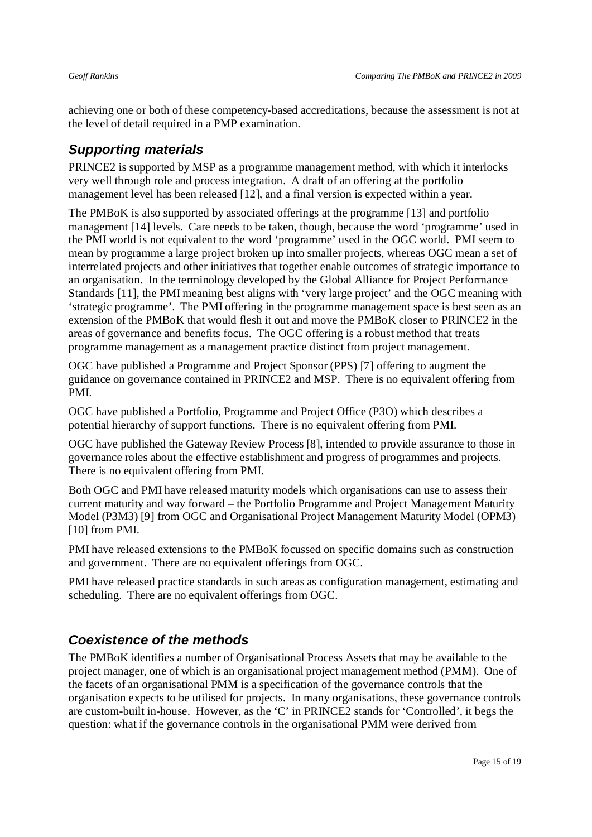achieving one or both of these competency-based accreditations, because the assessment is not at the level of detail required in a PMP examination.

## *Supporting materials*

PRINCE2 is supported by MSP as a programme management method, with which it interlocks very well through role and process integration. A draft of an offering at the portfolio management level has been released [12], and a final version is expected within a year.

The PMBoK is also supported by associated offerings at the programme [13] and portfolio management [14] levels. Care needs to be taken, though, because the word 'programme' used in the PMI world is not equivalent to the word 'programme' used in the OGC world. PMI seem to mean by programme a large project broken up into smaller projects, whereas OGC mean a set of interrelated projects and other initiatives that together enable outcomes of strategic importance to an organisation. In the terminology developed by the Global Alliance for Project Performance Standards [11], the PMI meaning best aligns with 'very large project' and the OGC meaning with 'strategic programme'. The PMI offering in the programme management space is best seen as an extension of the PMBoK that would flesh it out and move the PMBoK closer to PRINCE2 in the areas of governance and benefits focus. The OGC offering is a robust method that treats programme management as a management practice distinct from project management.

OGC have published a Programme and Project Sponsor (PPS) [7] offering to augment the guidance on governance contained in PRINCE2 and MSP. There is no equivalent offering from PMI.

OGC have published a Portfolio, Programme and Project Office (P3O) which describes a potential hierarchy of support functions. There is no equivalent offering from PMI.

OGC have published the Gateway Review Process [8], intended to provide assurance to those in governance roles about the effective establishment and progress of programmes and projects. There is no equivalent offering from PMI.

Both OGC and PMI have released maturity models which organisations can use to assess their current maturity and way forward – the Portfolio Programme and Project Management Maturity Model (P3M3) [9] from OGC and Organisational Project Management Maturity Model (OPM3) [10] from PMI.

PMI have released extensions to the PMBoK focussed on specific domains such as construction and government. There are no equivalent offerings from OGC.

PMI have released practice standards in such areas as configuration management, estimating and scheduling. There are no equivalent offerings from OGC.

## *Coexistence of the methods*

The PMBoK identifies a number of Organisational Process Assets that may be available to the project manager, one of which is an organisational project management method (PMM). One of the facets of an organisational PMM is a specification of the governance controls that the organisation expects to be utilised for projects. In many organisations, these governance controls are custom-built in-house. However, as the 'C' in PRINCE2 stands for 'Controlled', it begs the question: what if the governance controls in the organisational PMM were derived from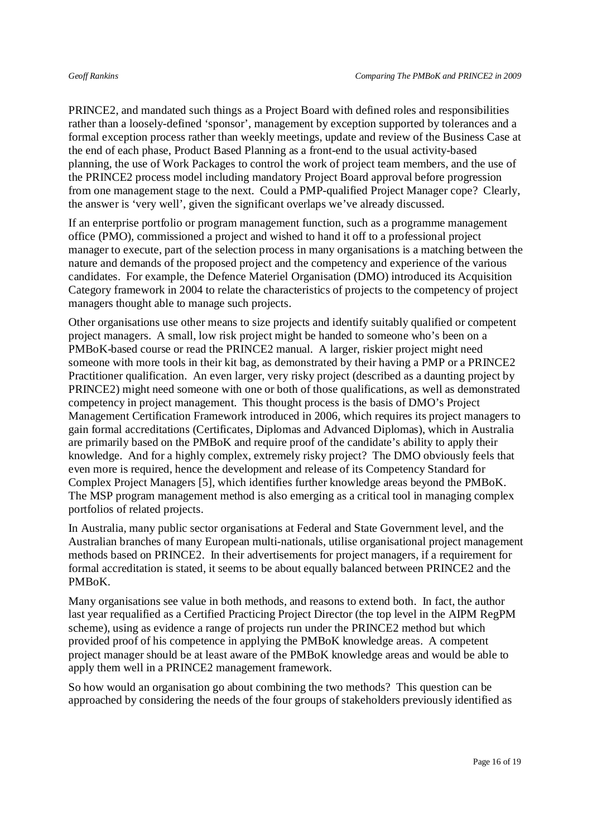PRINCE2, and mandated such things as a Project Board with defined roles and responsibilities rather than a loosely-defined 'sponsor', management by exception supported by tolerances and a formal exception process rather than weekly meetings, update and review of the Business Case at the end of each phase, Product Based Planning as a front-end to the usual activity-based planning, the use of Work Packages to control the work of project team members, and the use of the PRINCE2 process model including mandatory Project Board approval before progression from one management stage to the next. Could a PMP-qualified Project Manager cope? Clearly, the answer is 'very well', given the significant overlaps we've already discussed.

If an enterprise portfolio or program management function, such as a programme management office (PMO), commissioned a project and wished to hand it off to a professional project manager to execute, part of the selection process in many organisations is a matching between the nature and demands of the proposed project and the competency and experience of the various candidates. For example, the Defence Materiel Organisation (DMO) introduced its Acquisition Category framework in 2004 to relate the characteristics of projects to the competency of project managers thought able to manage such projects.

Other organisations use other means to size projects and identify suitably qualified or competent project managers. A small, low risk project might be handed to someone who's been on a PMBoK-based course or read the PRINCE2 manual. A larger, riskier project might need someone with more tools in their kit bag, as demonstrated by their having a PMP or a PRINCE2 Practitioner qualification. An even larger, very risky project (described as a daunting project by PRINCE2) might need someone with one or both of those qualifications, as well as demonstrated competency in project management. This thought process is the basis of DMO's Project Management Certification Framework introduced in 2006, which requires its project managers to gain formal accreditations (Certificates, Diplomas and Advanced Diplomas), which in Australia are primarily based on the PMBoK and require proof of the candidate's ability to apply their knowledge. And for a highly complex, extremely risky project? The DMO obviously feels that even more is required, hence the development and release of its Competency Standard for Complex Project Managers [5], which identifies further knowledge areas beyond the PMBoK. The MSP program management method is also emerging as a critical tool in managing complex portfolios of related projects.

In Australia, many public sector organisations at Federal and State Government level, and the Australian branches of many European multi-nationals, utilise organisational project management methods based on PRINCE2. In their advertisements for project managers, if a requirement for formal accreditation is stated, it seems to be about equally balanced between PRINCE2 and the PMBoK.

Many organisations see value in both methods, and reasons to extend both. In fact, the author last year requalified as a Certified Practicing Project Director (the top level in the AIPM RegPM scheme), using as evidence a range of projects run under the PRINCE2 method but which provided proof of his competence in applying the PMBoK knowledge areas. A competent project manager should be at least aware of the PMBoK knowledge areas and would be able to apply them well in a PRINCE2 management framework.

So how would an organisation go about combining the two methods? This question can be approached by considering the needs of the four groups of stakeholders previously identified as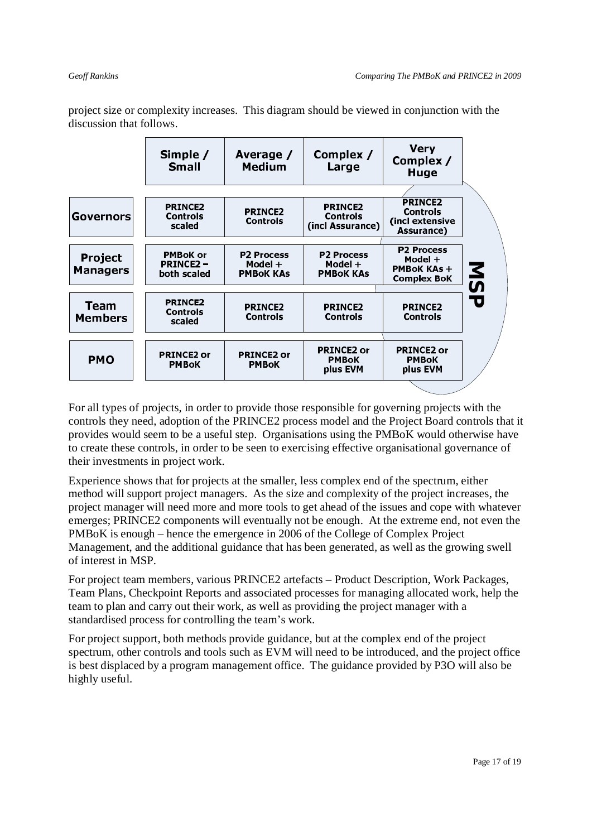**Very** Simple / Average / Complex / Complex / **Small Medium** Large Huae **PRINCE2 PRINCE2 PRINCE2** PRINCE2 **Controls** Governors **Controls** Controls (incl extensive **Controls** scaled (incl Assurance) Assurance) **P2 Process** P2 Process **P2 Process PMBoK or** Project Model + **PRINCE2-**Model + Model + **MSP PMBoK KAs + Managers PMBoK KAs PMBoK KAs** both scaled **Complex BoK PRINCE2 Team** PRINCE2 PRINCE2 PRINCE2 **Controls Members Controls Controls Controls** scaled **PRINCE2 or PRINCE2 or PRINCE2 or PRINCE2 or PMO PMBoK PMBoK PMBoK PMBoK** plus EVM plus EVM

project size or complexity increases. This diagram should be viewed in conjunction with the discussion that follows.

For all types of projects, in order to provide those responsible for governing projects with the controls they need, adoption of the PRINCE2 process model and the Project Board controls that it provides would seem to be a useful step. Organisations using the PMBoK would otherwise have to create these controls, in order to be seen to exercising effective organisational governance of their investments in project work.

Experience shows that for projects at the smaller, less complex end of the spectrum, either method will support project managers. As the size and complexity of the project increases, the project manager will need more and more tools to get ahead of the issues and cope with whatever emerges; PRINCE2 components will eventually not be enough. At the extreme end, not even the PMBoK is enough – hence the emergence in 2006 of the College of Complex Project Management, and the additional guidance that has been generated, as well as the growing swell of interest in MSP.

For project team members, various PRINCE2 artefacts – Product Description, Work Packages, Team Plans, Checkpoint Reports and associated processes for managing allocated work, help the team to plan and carry out their work, as well as providing the project manager with a standardised process for controlling the team's work.

For project support, both methods provide guidance, but at the complex end of the project spectrum, other controls and tools such as EVM will need to be introduced, and the project office is best displaced by a program management office. The guidance provided by P3O will also be highly useful.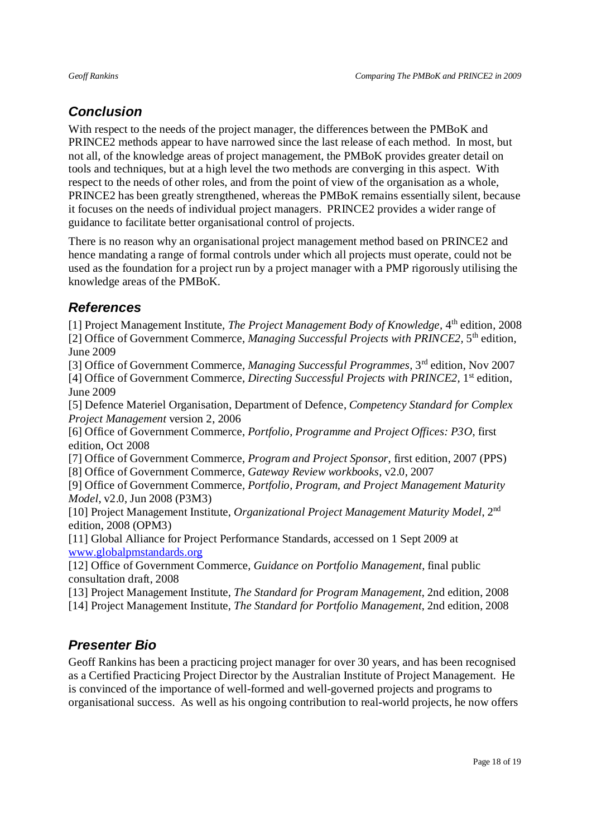## *Conclusion*

With respect to the needs of the project manager, the differences between the PMBoK and PRINCE2 methods appear to have narrowed since the last release of each method. In most, but not all, of the knowledge areas of project management, the PMBoK provides greater detail on tools and techniques, but at a high level the two methods are converging in this aspect. With respect to the needs of other roles, and from the point of view of the organisation as a whole, PRINCE2 has been greatly strengthened, whereas the PMBoK remains essentially silent, because it focuses on the needs of individual project managers. PRINCE2 provides a wider range of guidance to facilitate better organisational control of projects.

There is no reason why an organisational project management method based on PRINCE2 and hence mandating a range of formal controls under which all projects must operate, could not be used as the foundation for a project run by a project manager with a PMP rigorously utilising the knowledge areas of the PMBoK.

## *References*

[1] Project Management Institute, *The Project Management Body of Knowledge*, 4<sup>th</sup> edition, 2008 [2] Office of Government Commerce, *Managing Successful Projects with PRINCE2,* 5th edition, June 2009

[3] Office of Government Commerce, *Managing Successful Programmes,* 3rd edition, Nov 2007 [4] Office of Government Commerce, *Directing Successful Projects with PRINCE2*, 1<sup>st</sup> edition,

June 2009

[5] Defence Materiel Organisation, Department of Defence, *Competency Standard for Complex Project Management* version 2, 2006

[6] Office of Government Commerce, *Portfolio, Programme and Project Offices: P3O*, first edition, Oct 2008

[7] Office of Government Commerce, *Program and Project Sponsor*, first edition, 2007 (PPS) [8] Office of Government Commerce, *Gateway Review workbooks*, v2.0, 2007

[9] Office of Government Commerce, *Portfolio, Program, and Project Management Maturity Model*, v2.0, Jun 2008 (P3M3)

[10] Project Management Institute, *Organizational Project Management Maturity Model*, 2nd edition, 2008 (OPM3)

[11] Global Alliance for Project Performance Standards, accessed on 1 Sept 2009 at www.globalpmstandards.org

[12] Office of Government Commerce, *Guidance on Portfolio Management*, final public consultation draft, 2008

[13] Project Management Institute, *The Standard for Program Management*, 2nd edition, 2008

[14] Project Management Institute, *The Standard for Portfolio Management*, 2nd edition, 2008

## *Presenter Bio*

Geoff Rankins has been a practicing project manager for over 30 years, and has been recognised as a Certified Practicing Project Director by the Australian Institute of Project Management. He is convinced of the importance of well-formed and well-governed projects and programs to organisational success. As well as his ongoing contribution to real-world projects, he now offers